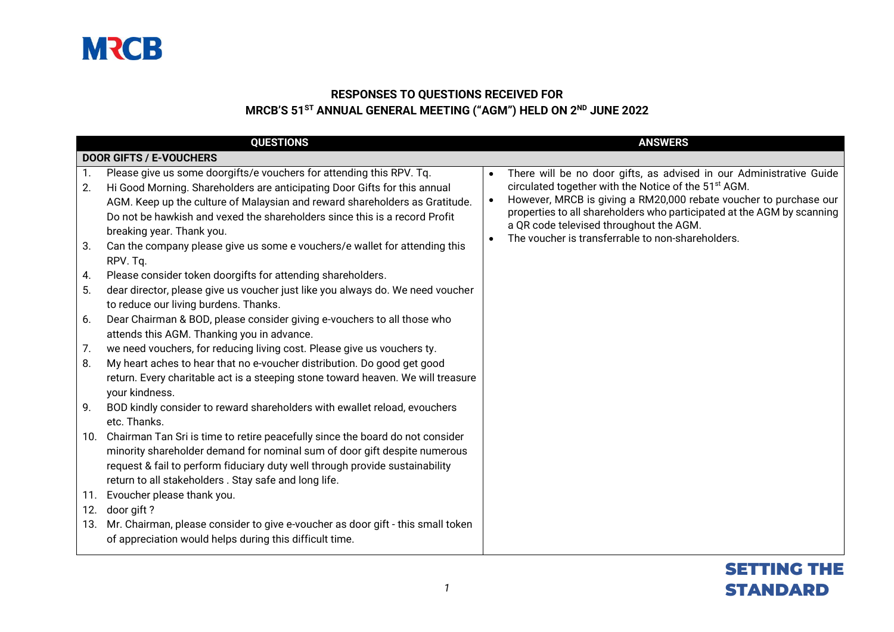

#### **RESPONSES TO QUESTIONS RECEIVED FOR MRCB'S 51 ST ANNUAL GENERAL MEETING ("AGM") HELD ON 2 ND JUNE 2022**

|                                                | <b>QUESTIONS</b>                                                                                                                                                                                                                                                                                                                                                                                                                                                                                                                                                                                                                                                                                                                                                                                                                                                                                                                                                                                                         |                        | <b>ANSWERS</b>                                                                                                                                                                                                                                                                                                                                                                         |
|------------------------------------------------|--------------------------------------------------------------------------------------------------------------------------------------------------------------------------------------------------------------------------------------------------------------------------------------------------------------------------------------------------------------------------------------------------------------------------------------------------------------------------------------------------------------------------------------------------------------------------------------------------------------------------------------------------------------------------------------------------------------------------------------------------------------------------------------------------------------------------------------------------------------------------------------------------------------------------------------------------------------------------------------------------------------------------|------------------------|----------------------------------------------------------------------------------------------------------------------------------------------------------------------------------------------------------------------------------------------------------------------------------------------------------------------------------------------------------------------------------------|
|                                                | <b>DOOR GIFTS / E-VOUCHERS</b>                                                                                                                                                                                                                                                                                                                                                                                                                                                                                                                                                                                                                                                                                                                                                                                                                                                                                                                                                                                           |                        |                                                                                                                                                                                                                                                                                                                                                                                        |
| 1.<br>2.<br>3.                                 | Please give us some doorgifts/e vouchers for attending this RPV. Tq.<br>Hi Good Morning. Shareholders are anticipating Door Gifts for this annual<br>AGM. Keep up the culture of Malaysian and reward shareholders as Gratitude.<br>Do not be hawkish and vexed the shareholders since this is a record Profit<br>breaking year. Thank you.<br>Can the company please give us some e vouchers/e wallet for attending this                                                                                                                                                                                                                                                                                                                                                                                                                                                                                                                                                                                                | $\bullet$<br>$\bullet$ | There will be no door gifts, as advised in our Administrative Guide<br>circulated together with the Notice of the 51 <sup>st</sup> AGM.<br>However, MRCB is giving a RM20,000 rebate voucher to purchase our<br>properties to all shareholders who participated at the AGM by scanning<br>a QR code televised throughout the AGM.<br>The voucher is transferrable to non-shareholders. |
| 4.<br>5.<br>6.<br>7.<br>8.<br>9.<br>10.<br>11. | RPV. Tq.<br>Please consider token doorgifts for attending shareholders.<br>dear director, please give us voucher just like you always do. We need voucher<br>to reduce our living burdens. Thanks.<br>Dear Chairman & BOD, please consider giving e-vouchers to all those who<br>attends this AGM. Thanking you in advance.<br>we need vouchers, for reducing living cost. Please give us vouchers ty.<br>My heart aches to hear that no e-voucher distribution. Do good get good<br>return. Every charitable act is a steeping stone toward heaven. We will treasure<br>your kindness.<br>BOD kindly consider to reward shareholders with ewallet reload, evouchers<br>etc. Thanks.<br>Chairman Tan Sri is time to retire peacefully since the board do not consider<br>minority shareholder demand for nominal sum of door gift despite numerous<br>request & fail to perform fiduciary duty well through provide sustainability<br>return to all stakeholders. Stay safe and long life.<br>Evoucher please thank you. |                        |                                                                                                                                                                                                                                                                                                                                                                                        |
| 12.<br>13.                                     | door gift?<br>Mr. Chairman, please consider to give e-voucher as door gift - this small token<br>of appreciation would helps during this difficult time.                                                                                                                                                                                                                                                                                                                                                                                                                                                                                                                                                                                                                                                                                                                                                                                                                                                                 |                        |                                                                                                                                                                                                                                                                                                                                                                                        |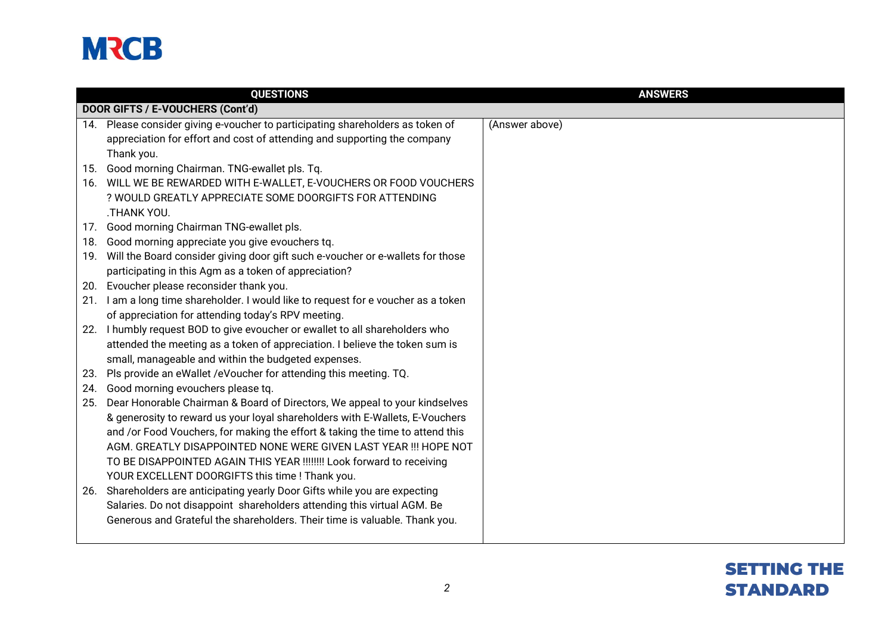

|     | <b>QUESTIONS</b>                                                                   | <b>ANSWERS</b> |
|-----|------------------------------------------------------------------------------------|----------------|
|     | DOOR GIFTS / E-VOUCHERS (Cont'd)                                                   |                |
|     | 14. Please consider giving e-voucher to participating shareholders as token of     | (Answer above) |
|     | appreciation for effort and cost of attending and supporting the company           |                |
|     | Thank you.                                                                         |                |
|     | 15. Good morning Chairman. TNG-ewallet pls. Tq.                                    |                |
|     | 16. WILL WE BE REWARDED WITH E-WALLET, E-VOUCHERS OR FOOD VOUCHERS                 |                |
|     | ? WOULD GREATLY APPRECIATE SOME DOORGIFTS FOR ATTENDING                            |                |
|     | .THANK YOU.                                                                        |                |
|     | 17. Good morning Chairman TNG-ewallet pls.                                         |                |
| 18. | Good morning appreciate you give evouchers tq.                                     |                |
|     | 19. Will the Board consider giving door gift such e-voucher or e-wallets for those |                |
|     | participating in this Agm as a token of appreciation?                              |                |
|     | 20. Evoucher please reconsider thank you.                                          |                |
|     | 21. I am a long time shareholder. I would like to request for e voucher as a token |                |
|     | of appreciation for attending today's RPV meeting.                                 |                |
|     | 22. I humbly request BOD to give evoucher or ewallet to all shareholders who       |                |
|     | attended the meeting as a token of appreciation. I believe the token sum is        |                |
|     | small, manageable and within the budgeted expenses.                                |                |
| 23. | Pls provide an eWallet /eVoucher for attending this meeting. TQ.                   |                |
| 24. | Good morning evouchers please tq.                                                  |                |
|     | 25. Dear Honorable Chairman & Board of Directors, We appeal to your kindselves     |                |
|     | & generosity to reward us your loyal shareholders with E-Wallets, E-Vouchers       |                |
|     | and /or Food Vouchers, for making the effort & taking the time to attend this      |                |
|     | AGM. GREATLY DISAPPOINTED NONE WERE GIVEN LAST YEAR !!! HOPE NOT                   |                |
|     | TO BE DISAPPOINTED AGAIN THIS YEAR !!!!!!!! Look forward to receiving              |                |
|     | YOUR EXCELLENT DOORGIFTS this time ! Thank you.                                    |                |
|     | 26. Shareholders are anticipating yearly Door Gifts while you are expecting        |                |
|     | Salaries. Do not disappoint shareholders attending this virtual AGM. Be            |                |
|     | Generous and Grateful the shareholders. Their time is valuable. Thank you.         |                |
|     |                                                                                    |                |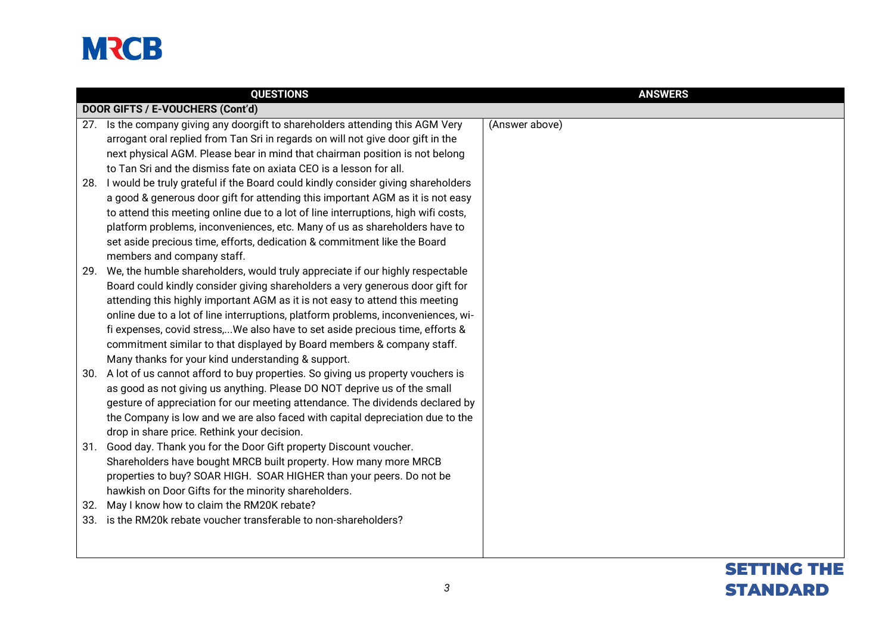|     | <b>QUESTIONS</b>                                                                     | <b>ANSWERS</b>   |
|-----|--------------------------------------------------------------------------------------|------------------|
|     | DOOR GIFTS / E-VOUCHERS (Cont'd)                                                     |                  |
|     | 27. Is the company giving any doorgift to shareholders attending this AGM Very       | (Answer above)   |
|     | arrogant oral replied from Tan Sri in regards on will not give door gift in the      |                  |
|     | next physical AGM. Please bear in mind that chairman position is not belong          |                  |
|     | to Tan Sri and the dismiss fate on axiata CEO is a lesson for all.                   |                  |
|     | 28. I would be truly grateful if the Board could kindly consider giving shareholders |                  |
|     | a good & generous door gift for attending this important AGM as it is not easy       |                  |
|     | to attend this meeting online due to a lot of line interruptions, high wifi costs,   |                  |
|     | platform problems, inconveniences, etc. Many of us as shareholders have to           |                  |
|     | set aside precious time, efforts, dedication & commitment like the Board             |                  |
|     | members and company staff.                                                           |                  |
| 29. | We, the humble shareholders, would truly appreciate if our highly respectable        |                  |
|     | Board could kindly consider giving shareholders a very generous door gift for        |                  |
|     | attending this highly important AGM as it is not easy to attend this meeting         |                  |
|     | online due to a lot of line interruptions, platform problems, inconveniences, wi-    |                  |
|     | fi expenses, covid stress,We also have to set aside precious time, efforts &         |                  |
|     | commitment similar to that displayed by Board members & company staff.               |                  |
|     | Many thanks for your kind understanding & support.                                   |                  |
| 30. | A lot of us cannot afford to buy properties. So giving us property vouchers is       |                  |
|     | as good as not giving us anything. Please DO NOT deprive us of the small             |                  |
|     | gesture of appreciation for our meeting attendance. The dividends declared by        |                  |
|     | the Company is low and we are also faced with capital depreciation due to the        |                  |
|     | drop in share price. Rethink your decision.                                          |                  |
|     | 31. Good day. Thank you for the Door Gift property Discount voucher.                 |                  |
|     | Shareholders have bought MRCB built property. How many more MRCB                     |                  |
|     | properties to buy? SOAR HIGH. SOAR HIGHER than your peers. Do not be                 |                  |
|     | hawkish on Door Gifts for the minority shareholders.                                 |                  |
| 32. | May I know how to claim the RM20K rebate?                                            |                  |
| 33. | is the RM20k rebate voucher transferable to non-shareholders?                        |                  |
|     |                                                                                      |                  |
|     |                                                                                      |                  |
|     |                                                                                      | <b>SETTING T</b> |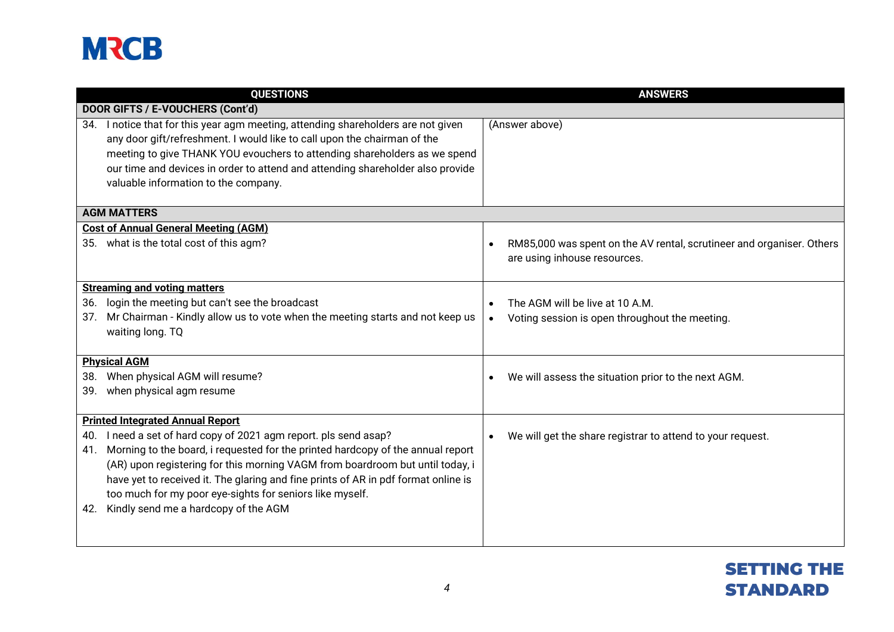|     | <b>QUESTIONS</b>                                                                                                                                                                                                                                                                                                                                                 | <b>ANSWERS</b>                                                                                                     |
|-----|------------------------------------------------------------------------------------------------------------------------------------------------------------------------------------------------------------------------------------------------------------------------------------------------------------------------------------------------------------------|--------------------------------------------------------------------------------------------------------------------|
|     | DOOR GIFTS / E-VOUCHERS (Cont'd)                                                                                                                                                                                                                                                                                                                                 |                                                                                                                    |
| 34. | I notice that for this year agm meeting, attending shareholders are not given<br>any door gift/refreshment. I would like to call upon the chairman of the<br>meeting to give THANK YOU evouchers to attending shareholders as we spend<br>our time and devices in order to attend and attending shareholder also provide<br>valuable information to the company. | (Answer above)                                                                                                     |
|     | <b>AGM MATTERS</b>                                                                                                                                                                                                                                                                                                                                               |                                                                                                                    |
|     | <b>Cost of Annual General Meeting (AGM)</b><br>35. what is the total cost of this agm?                                                                                                                                                                                                                                                                           | RM85,000 was spent on the AV rental, scrutineer and organiser. Others<br>$\bullet$<br>are using inhouse resources. |
|     | <b>Streaming and voting matters</b>                                                                                                                                                                                                                                                                                                                              |                                                                                                                    |
| 36. | login the meeting but can't see the broadcast                                                                                                                                                                                                                                                                                                                    | The AGM will be live at 10 A.M.                                                                                    |
| 37. | Mr Chairman - Kindly allow us to vote when the meeting starts and not keep us<br>waiting long. TQ                                                                                                                                                                                                                                                                | Voting session is open throughout the meeting.<br>$\bullet$                                                        |
|     | <b>Physical AGM</b>                                                                                                                                                                                                                                                                                                                                              |                                                                                                                    |
| 38. | When physical AGM will resume?                                                                                                                                                                                                                                                                                                                                   | We will assess the situation prior to the next AGM.                                                                |
| 39. | when physical agm resume                                                                                                                                                                                                                                                                                                                                         |                                                                                                                    |
|     | <b>Printed Integrated Annual Report</b>                                                                                                                                                                                                                                                                                                                          |                                                                                                                    |
| 40. | I need a set of hard copy of 2021 agm report. pls send asap?                                                                                                                                                                                                                                                                                                     | We will get the share registrar to attend to your request.                                                         |
| 41. | Morning to the board, i requested for the printed hardcopy of the annual report                                                                                                                                                                                                                                                                                  |                                                                                                                    |
|     | (AR) upon registering for this morning VAGM from boardroom but until today, i                                                                                                                                                                                                                                                                                    |                                                                                                                    |
|     | have yet to received it. The glaring and fine prints of AR in pdf format online is                                                                                                                                                                                                                                                                               |                                                                                                                    |
|     | too much for my poor eye-sights for seniors like myself.                                                                                                                                                                                                                                                                                                         |                                                                                                                    |
| 42. | Kindly send me a hardcopy of the AGM                                                                                                                                                                                                                                                                                                                             |                                                                                                                    |
|     |                                                                                                                                                                                                                                                                                                                                                                  |                                                                                                                    |

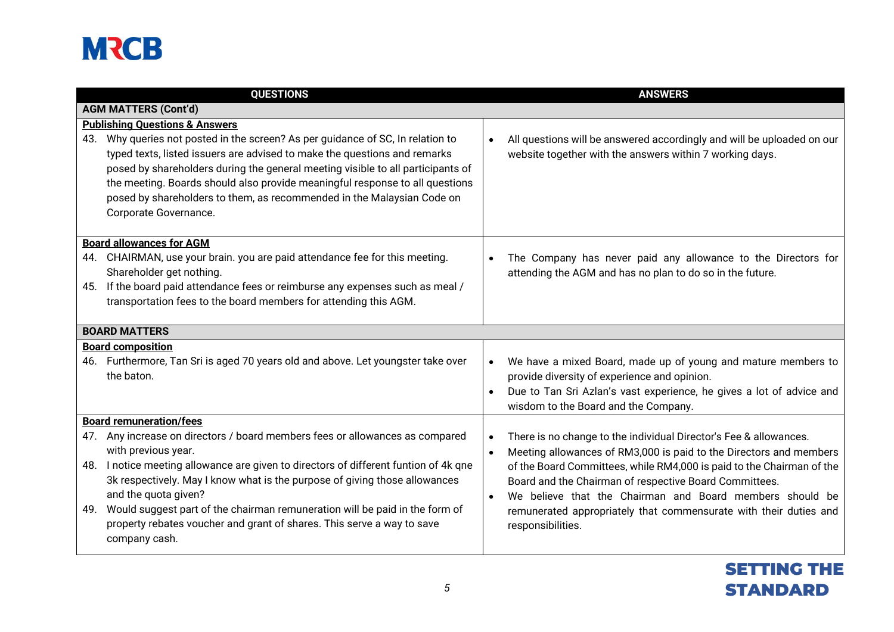| <b>QUESTIONS</b>                                                                                                                                                                                                                                                                                                                                                                                                                   |                        | <b>ANSWERS</b>                                                                                                                                                                              |
|------------------------------------------------------------------------------------------------------------------------------------------------------------------------------------------------------------------------------------------------------------------------------------------------------------------------------------------------------------------------------------------------------------------------------------|------------------------|---------------------------------------------------------------------------------------------------------------------------------------------------------------------------------------------|
| <b>AGM MATTERS (Cont'd)</b>                                                                                                                                                                                                                                                                                                                                                                                                        |                        |                                                                                                                                                                                             |
| <b>Publishing Questions &amp; Answers</b>                                                                                                                                                                                                                                                                                                                                                                                          |                        |                                                                                                                                                                                             |
| 43. Why queries not posted in the screen? As per guidance of SC, In relation to<br>typed texts, listed issuers are advised to make the questions and remarks<br>posed by shareholders during the general meeting visible to all participants of<br>the meeting. Boards should also provide meaningful response to all questions<br>posed by shareholders to them, as recommended in the Malaysian Code on<br>Corporate Governance. | $\bullet$              | All questions will be answered accordingly and will be uploaded on our<br>website together with the answers within 7 working days.                                                          |
| <b>Board allowances for AGM</b>                                                                                                                                                                                                                                                                                                                                                                                                    |                        |                                                                                                                                                                                             |
| 44. CHAIRMAN, use your brain. you are paid attendance fee for this meeting.<br>Shareholder get nothing.                                                                                                                                                                                                                                                                                                                            |                        | The Company has never paid any allowance to the Directors for<br>attending the AGM and has no plan to do so in the future.                                                                  |
| 45. If the board paid attendance fees or reimburse any expenses such as meal /<br>transportation fees to the board members for attending this AGM.                                                                                                                                                                                                                                                                                 |                        |                                                                                                                                                                                             |
| <b>BOARD MATTERS</b>                                                                                                                                                                                                                                                                                                                                                                                                               |                        |                                                                                                                                                                                             |
| <b>Board composition</b>                                                                                                                                                                                                                                                                                                                                                                                                           |                        |                                                                                                                                                                                             |
| 46. Furthermore, Tan Sri is aged 70 years old and above. Let youngster take over<br>the baton.                                                                                                                                                                                                                                                                                                                                     | $\bullet$              | We have a mixed Board, made up of young and mature members to<br>provide diversity of experience and opinion.                                                                               |
|                                                                                                                                                                                                                                                                                                                                                                                                                                    | $\bullet$              | Due to Tan Sri Azlan's vast experience, he gives a lot of advice and<br>wisdom to the Board and the Company.                                                                                |
| <b>Board remuneration/fees</b>                                                                                                                                                                                                                                                                                                                                                                                                     |                        |                                                                                                                                                                                             |
| 47. Any increase on directors / board members fees or allowances as compared<br>with previous year.                                                                                                                                                                                                                                                                                                                                | $\bullet$<br>$\bullet$ | There is no change to the individual Director's Fee & allowances.<br>Meeting allowances of RM3,000 is paid to the Directors and members                                                     |
| 48. I notice meeting allowance are given to directors of different funtion of 4k qne<br>3k respectively. May I know what is the purpose of giving those allowances<br>and the quota given?                                                                                                                                                                                                                                         | $\bullet$              | of the Board Committees, while RM4,000 is paid to the Chairman of the<br>Board and the Chairman of respective Board Committees.<br>We believe that the Chairman and Board members should be |
| 49. Would suggest part of the chairman remuneration will be paid in the form of<br>property rebates voucher and grant of shares. This serve a way to save<br>company cash.                                                                                                                                                                                                                                                         |                        | remunerated appropriately that commensurate with their duties and<br>responsibilities.                                                                                                      |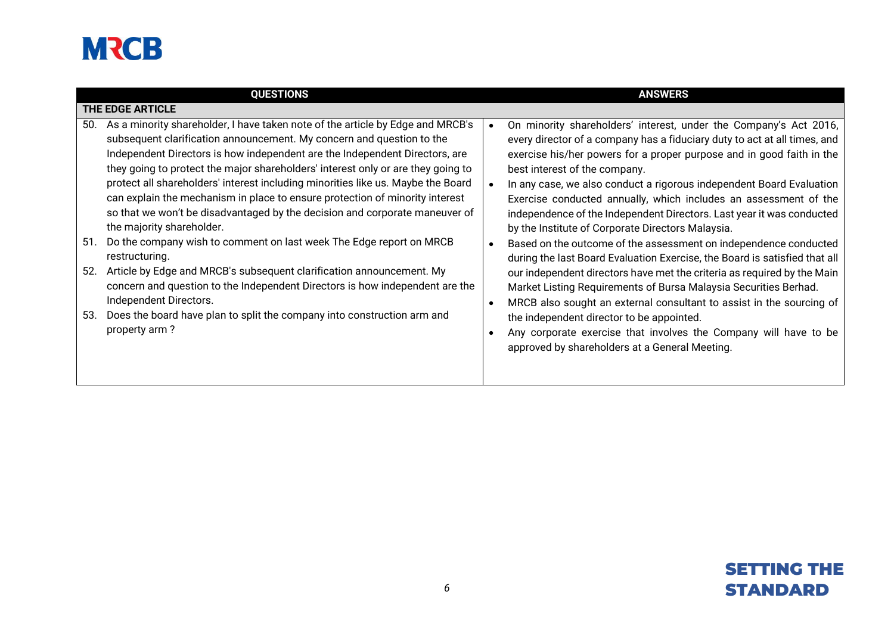| <b>QUESTIONS</b>                                                                                                                                                                                                                                                                                                                                                                                                                                                                                                                                                                                                                                                                                                                                                                                                                                                                                                                                                                                              | <b>ANSWERS</b>                                                                                                                                                                                                                                                                                                                                                                                                                                                                                                                                                                                                                                                                                                                                                                                                                                                                                                                                                                                                                                                                 |
|---------------------------------------------------------------------------------------------------------------------------------------------------------------------------------------------------------------------------------------------------------------------------------------------------------------------------------------------------------------------------------------------------------------------------------------------------------------------------------------------------------------------------------------------------------------------------------------------------------------------------------------------------------------------------------------------------------------------------------------------------------------------------------------------------------------------------------------------------------------------------------------------------------------------------------------------------------------------------------------------------------------|--------------------------------------------------------------------------------------------------------------------------------------------------------------------------------------------------------------------------------------------------------------------------------------------------------------------------------------------------------------------------------------------------------------------------------------------------------------------------------------------------------------------------------------------------------------------------------------------------------------------------------------------------------------------------------------------------------------------------------------------------------------------------------------------------------------------------------------------------------------------------------------------------------------------------------------------------------------------------------------------------------------------------------------------------------------------------------|
| THE EDGE ARTICLE                                                                                                                                                                                                                                                                                                                                                                                                                                                                                                                                                                                                                                                                                                                                                                                                                                                                                                                                                                                              |                                                                                                                                                                                                                                                                                                                                                                                                                                                                                                                                                                                                                                                                                                                                                                                                                                                                                                                                                                                                                                                                                |
| As a minority shareholder, I have taken note of the article by Edge and MRCB's<br>50.<br>subsequent clarification announcement. My concern and question to the<br>Independent Directors is how independent are the Independent Directors, are<br>they going to protect the major shareholders' interest only or are they going to<br>protect all shareholders' interest including minorities like us. Maybe the Board<br>can explain the mechanism in place to ensure protection of minority interest<br>so that we won't be disadvantaged by the decision and corporate maneuver of<br>the majority shareholder.<br>Do the company wish to comment on last week The Edge report on MRCB<br>51.<br>restructuring.<br>Article by Edge and MRCB's subsequent clarification announcement. My<br>52.<br>concern and question to the Independent Directors is how independent are the<br>Independent Directors.<br>Does the board have plan to split the company into construction arm and<br>53.<br>property arm? | On minority shareholders' interest, under the Company's Act 2016,<br>every director of a company has a fiduciary duty to act at all times, and<br>exercise his/her powers for a proper purpose and in good faith in the<br>best interest of the company.<br>In any case, we also conduct a rigorous independent Board Evaluation<br>Exercise conducted annually, which includes an assessment of the<br>independence of the Independent Directors. Last year it was conducted<br>by the Institute of Corporate Directors Malaysia.<br>Based on the outcome of the assessment on independence conducted<br>during the last Board Evaluation Exercise, the Board is satisfied that all<br>our independent directors have met the criteria as required by the Main<br>Market Listing Requirements of Bursa Malaysia Securities Berhad.<br>MRCB also sought an external consultant to assist in the sourcing of<br>the independent director to be appointed.<br>Any corporate exercise that involves the Company will have to be<br>approved by shareholders at a General Meeting. |

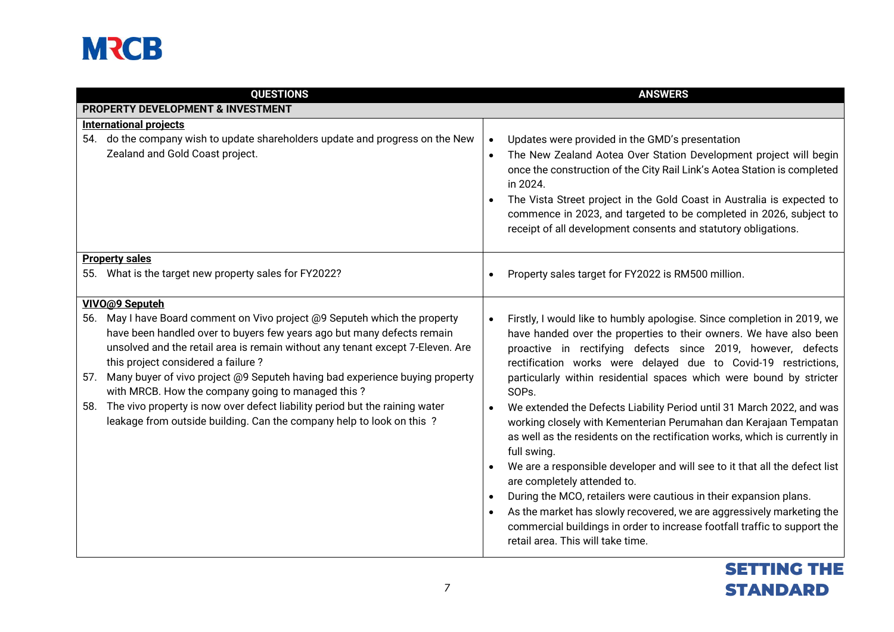| <b>QUESTIONS</b>                                                                                                                                                                                                                                                                                                                                                   | <b>ANSWERS</b>                                                                                                                                                                                                                                                                                                                                                                                                                                           |
|--------------------------------------------------------------------------------------------------------------------------------------------------------------------------------------------------------------------------------------------------------------------------------------------------------------------------------------------------------------------|----------------------------------------------------------------------------------------------------------------------------------------------------------------------------------------------------------------------------------------------------------------------------------------------------------------------------------------------------------------------------------------------------------------------------------------------------------|
| PROPERTY DEVELOPMENT & INVESTMENT                                                                                                                                                                                                                                                                                                                                  |                                                                                                                                                                                                                                                                                                                                                                                                                                                          |
| <b>International projects</b>                                                                                                                                                                                                                                                                                                                                      |                                                                                                                                                                                                                                                                                                                                                                                                                                                          |
| 54. do the company wish to update shareholders update and progress on the New<br>Zealand and Gold Coast project.                                                                                                                                                                                                                                                   | Updates were provided in the GMD's presentation<br>$\bullet$<br>The New Zealand Aotea Over Station Development project will begin<br>$\bullet$<br>once the construction of the City Rail Link's Aotea Station is completed<br>in 2024.<br>The Vista Street project in the Gold Coast in Australia is expected to<br>commence in 2023, and targeted to be completed in 2026, subject to<br>receipt of all development consents and statutory obligations. |
| <b>Property sales</b><br>55. What is the target new property sales for FY2022?                                                                                                                                                                                                                                                                                     | Property sales target for FY2022 is RM500 million.                                                                                                                                                                                                                                                                                                                                                                                                       |
| VIVO@9 Seputeh                                                                                                                                                                                                                                                                                                                                                     |                                                                                                                                                                                                                                                                                                                                                                                                                                                          |
| May I have Board comment on Vivo project @9 Seputeh which the property<br>56.<br>have been handled over to buyers few years ago but many defects remain<br>unsolved and the retail area is remain without any tenant except 7-Eleven. Are<br>this project considered a failure?<br>57. Many buyer of vivo project @9 Seputeh having bad experience buying property | Firstly, I would like to humbly apologise. Since completion in 2019, we<br>$\bullet$<br>have handed over the properties to their owners. We have also been<br>proactive in rectifying defects since 2019, however, defects<br>rectification works were delayed due to Covid-19 restrictions,<br>particularly within residential spaces which were bound by stricter                                                                                      |
| with MRCB. How the company going to managed this?                                                                                                                                                                                                                                                                                                                  | SOPs.                                                                                                                                                                                                                                                                                                                                                                                                                                                    |
| The vivo property is now over defect liability period but the raining water<br>58.<br>leakage from outside building. Can the company help to look on this ?                                                                                                                                                                                                        | We extended the Defects Liability Period until 31 March 2022, and was<br>$\bullet$<br>working closely with Kementerian Perumahan dan Kerajaan Tempatan<br>as well as the residents on the rectification works, which is currently in<br>full swing.                                                                                                                                                                                                      |
|                                                                                                                                                                                                                                                                                                                                                                    | We are a responsible developer and will see to it that all the defect list<br>are completely attended to.<br>During the MCO, retailers were cautious in their expansion plans.<br>As the market has slowly recovered, we are aggressively marketing the<br>commercial buildings in order to increase footfall traffic to support the<br>retail area. This will take time.                                                                                |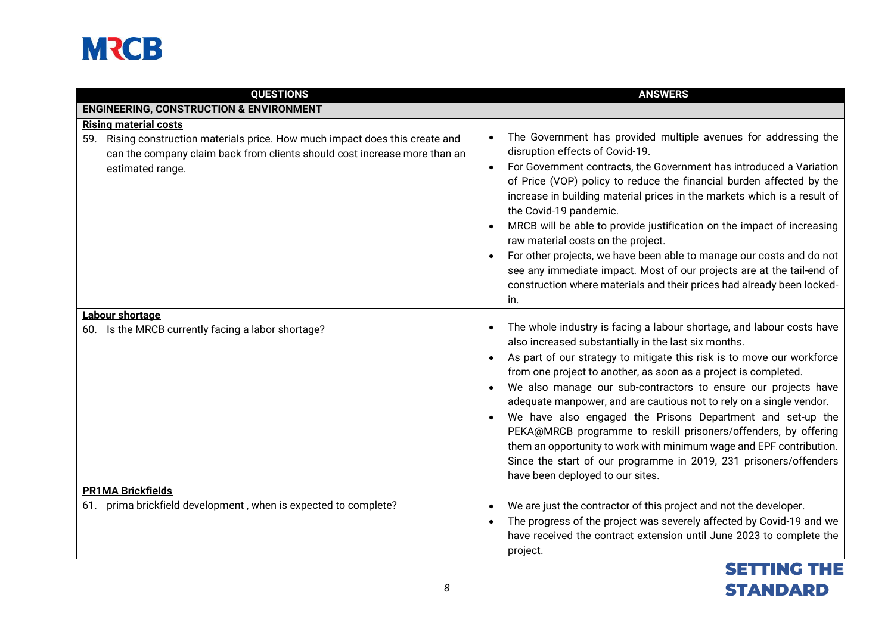| <b>QUESTIONS</b>                                                                                                                                                                                               | <b>ANSWERS</b>                                                                                                                                                                                                                                                                                                                                                                                                                                                                                                                                                                                                                                                                                                                       |
|----------------------------------------------------------------------------------------------------------------------------------------------------------------------------------------------------------------|--------------------------------------------------------------------------------------------------------------------------------------------------------------------------------------------------------------------------------------------------------------------------------------------------------------------------------------------------------------------------------------------------------------------------------------------------------------------------------------------------------------------------------------------------------------------------------------------------------------------------------------------------------------------------------------------------------------------------------------|
| <b>ENGINEERING, CONSTRUCTION &amp; ENVIRONMENT</b>                                                                                                                                                             |                                                                                                                                                                                                                                                                                                                                                                                                                                                                                                                                                                                                                                                                                                                                      |
| <b>Rising material costs</b><br>59. Rising construction materials price. How much impact does this create and<br>can the company claim back from clients should cost increase more than an<br>estimated range. | The Government has provided multiple avenues for addressing the<br>disruption effects of Covid-19.<br>For Government contracts, the Government has introduced a Variation<br>of Price (VOP) policy to reduce the financial burden affected by the<br>increase in building material prices in the markets which is a result of<br>the Covid-19 pandemic.<br>MRCB will be able to provide justification on the impact of increasing<br>raw material costs on the project.<br>For other projects, we have been able to manage our costs and do not<br>see any immediate impact. Most of our projects are at the tail-end of<br>construction where materials and their prices had already been locked-<br>in.                            |
| <b>Labour shortage</b><br>60. Is the MRCB currently facing a labor shortage?                                                                                                                                   | The whole industry is facing a labour shortage, and labour costs have<br>also increased substantially in the last six months.<br>As part of our strategy to mitigate this risk is to move our workforce<br>from one project to another, as soon as a project is completed.<br>We also manage our sub-contractors to ensure our projects have<br>adequate manpower, and are cautious not to rely on a single vendor.<br>We have also engaged the Prisons Department and set-up the<br>PEKA@MRCB programme to reskill prisoners/offenders, by offering<br>them an opportunity to work with minimum wage and EPF contribution.<br>Since the start of our programme in 2019, 231 prisoners/offenders<br>have been deployed to our sites. |
| <b>PR1MA Brickfields</b><br>61. prima brickfield development, when is expected to complete?                                                                                                                    | We are just the contractor of this project and not the developer.<br>The progress of the project was severely affected by Covid-19 and we<br>$\bullet$<br>have received the contract extension until June 2023 to complete the<br>project.                                                                                                                                                                                                                                                                                                                                                                                                                                                                                           |

### SETTING THE STANDARD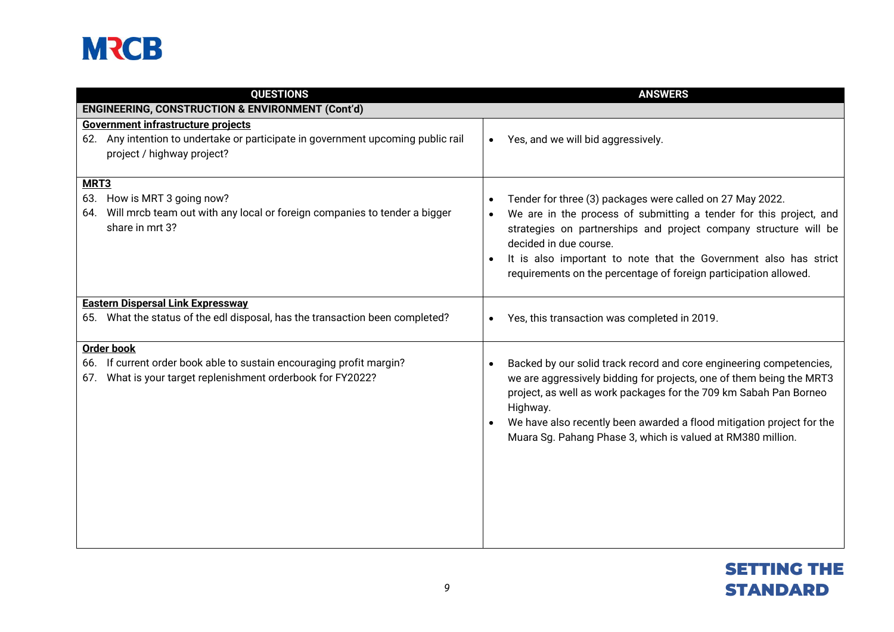| <b>QUESTIONS</b>                                                                                                                                            | <b>ANSWERS</b>                                                                                                                                                                                                                                                                                                                                                        |
|-------------------------------------------------------------------------------------------------------------------------------------------------------------|-----------------------------------------------------------------------------------------------------------------------------------------------------------------------------------------------------------------------------------------------------------------------------------------------------------------------------------------------------------------------|
| <b>ENGINEERING, CONSTRUCTION &amp; ENVIRONMENT (Cont'd)</b>                                                                                                 |                                                                                                                                                                                                                                                                                                                                                                       |
| Government infrastructure projects<br>62. Any intention to undertake or participate in government upcoming public rail<br>project / highway project?        | Yes, and we will bid aggressively.<br>$\bullet$                                                                                                                                                                                                                                                                                                                       |
| MRT <sub>3</sub><br>63. How is MRT 3 going now?<br>Will mrcb team out with any local or foreign companies to tender a bigger<br>64.<br>share in mrt 3?      | Tender for three (3) packages were called on 27 May 2022.<br>We are in the process of submitting a tender for this project, and<br>strategies on partnerships and project company structure will be<br>decided in due course.<br>It is also important to note that the Government also has strict<br>requirements on the percentage of foreign participation allowed. |
| <b>Eastern Dispersal Link Expressway</b><br>65. What the status of the edl disposal, has the transaction been completed?                                    | Yes, this transaction was completed in 2019.                                                                                                                                                                                                                                                                                                                          |
| <b>Order book</b><br>66. If current order book able to sustain encouraging profit margin?<br>What is your target replenishment orderbook for FY2022?<br>67. | Backed by our solid track record and core engineering competencies,<br>we are aggressively bidding for projects, one of them being the MRT3<br>project, as well as work packages for the 709 km Sabah Pan Borneo<br>Highway.<br>We have also recently been awarded a flood mitigation project for the<br>Muara Sg. Pahang Phase 3, which is valued at RM380 million.  |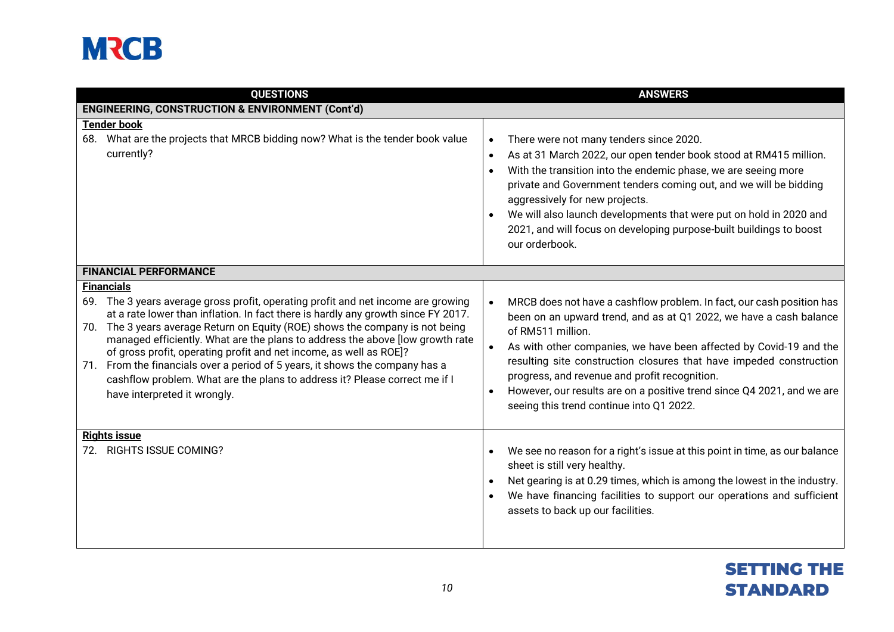| <b>QUESTIONS</b>                                                                                                                                                                                                                                                                                                                                                                                                                                                                                                                                                                                                                  | <b>ANSWERS</b>                                                                                                                                                                                                                                                                                                                                                                                                                                                                                                              |
|-----------------------------------------------------------------------------------------------------------------------------------------------------------------------------------------------------------------------------------------------------------------------------------------------------------------------------------------------------------------------------------------------------------------------------------------------------------------------------------------------------------------------------------------------------------------------------------------------------------------------------------|-----------------------------------------------------------------------------------------------------------------------------------------------------------------------------------------------------------------------------------------------------------------------------------------------------------------------------------------------------------------------------------------------------------------------------------------------------------------------------------------------------------------------------|
| <b>ENGINEERING, CONSTRUCTION &amp; ENVIRONMENT (Cont'd)</b>                                                                                                                                                                                                                                                                                                                                                                                                                                                                                                                                                                       |                                                                                                                                                                                                                                                                                                                                                                                                                                                                                                                             |
| <b>Tender book</b><br>68. What are the projects that MRCB bidding now? What is the tender book value<br>currently?                                                                                                                                                                                                                                                                                                                                                                                                                                                                                                                | There were not many tenders since 2020.<br>$\bullet$<br>As at 31 March 2022, our open tender book stood at RM415 million.<br>$\bullet$<br>With the transition into the endemic phase, we are seeing more<br>$\bullet$<br>private and Government tenders coming out, and we will be bidding<br>aggressively for new projects.<br>We will also launch developments that were put on hold in 2020 and<br>$\bullet$<br>2021, and will focus on developing purpose-built buildings to boost<br>our orderbook.                    |
| <b>FINANCIAL PERFORMANCE</b>                                                                                                                                                                                                                                                                                                                                                                                                                                                                                                                                                                                                      |                                                                                                                                                                                                                                                                                                                                                                                                                                                                                                                             |
| <b>Financials</b><br>69. The 3 years average gross profit, operating profit and net income are growing<br>at a rate lower than inflation. In fact there is hardly any growth since FY 2017.<br>70. The 3 years average Return on Equity (ROE) shows the company is not being<br>managed efficiently. What are the plans to address the above [low growth rate<br>of gross profit, operating profit and net income, as well as ROE]?<br>71. From the financials over a period of 5 years, it shows the company has a<br>cashflow problem. What are the plans to address it? Please correct me if I<br>have interpreted it wrongly. | MRCB does not have a cashflow problem. In fact, our cash position has<br>$\bullet$<br>been on an upward trend, and as at Q1 2022, we have a cash balance<br>of RM511 million.<br>As with other companies, we have been affected by Covid-19 and the<br>$\bullet$<br>resulting site construction closures that have impeded construction<br>progress, and revenue and profit recognition.<br>However, our results are on a positive trend since Q4 2021, and we are<br>$\bullet$<br>seeing this trend continue into Q1 2022. |
| <b>Rights issue</b><br>72. RIGHTS ISSUE COMING?                                                                                                                                                                                                                                                                                                                                                                                                                                                                                                                                                                                   | We see no reason for a right's issue at this point in time, as our balance<br>$\bullet$<br>sheet is still very healthy.<br>Net gearing is at 0.29 times, which is among the lowest in the industry.<br>$\bullet$<br>We have financing facilities to support our operations and sufficient<br>assets to back up our facilities.                                                                                                                                                                                              |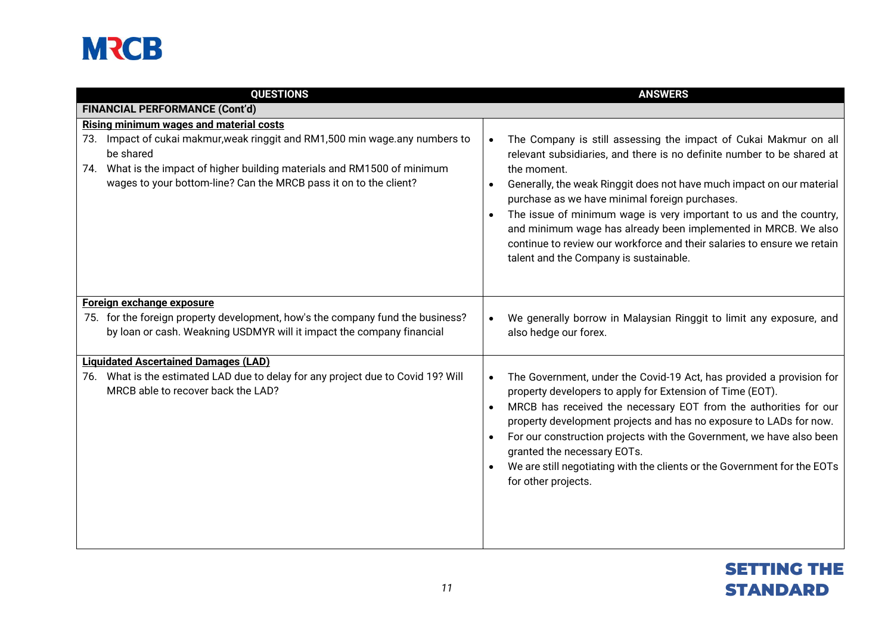| <b>QUESTIONS</b>                                                                                                                                                                                                                            | <b>ANSWERS</b>                                                                                                                                                                                                                                                                                                                                                                                                                                                                                                                                                                           |
|---------------------------------------------------------------------------------------------------------------------------------------------------------------------------------------------------------------------------------------------|------------------------------------------------------------------------------------------------------------------------------------------------------------------------------------------------------------------------------------------------------------------------------------------------------------------------------------------------------------------------------------------------------------------------------------------------------------------------------------------------------------------------------------------------------------------------------------------|
| <b>FINANCIAL PERFORMANCE (Cont'd)</b>                                                                                                                                                                                                       |                                                                                                                                                                                                                                                                                                                                                                                                                                                                                                                                                                                          |
| <b>Rising minimum wages and material costs</b>                                                                                                                                                                                              |                                                                                                                                                                                                                                                                                                                                                                                                                                                                                                                                                                                          |
| 73. Impact of cukai makmur, weak ringgit and RM1,500 min wage.any numbers to<br>be shared<br>74. What is the impact of higher building materials and RM1500 of minimum<br>wages to your bottom-line? Can the MRCB pass it on to the client? | The Company is still assessing the impact of Cukai Makmur on all<br>$\bullet$<br>relevant subsidiaries, and there is no definite number to be shared at<br>the moment.<br>Generally, the weak Ringgit does not have much impact on our material<br>$\bullet$<br>purchase as we have minimal foreign purchases.<br>The issue of minimum wage is very important to us and the country,<br>$\bullet$<br>and minimum wage has already been implemented in MRCB. We also<br>continue to review our workforce and their salaries to ensure we retain<br>talent and the Company is sustainable. |
| Foreign exchange exposure                                                                                                                                                                                                                   |                                                                                                                                                                                                                                                                                                                                                                                                                                                                                                                                                                                          |
| 75. for the foreign property development, how's the company fund the business?<br>by loan or cash. Weakning USDMYR will it impact the company financial                                                                                     | We generally borrow in Malaysian Ringgit to limit any exposure, and<br>$\bullet$<br>also hedge our forex.                                                                                                                                                                                                                                                                                                                                                                                                                                                                                |
| <b>Liquidated Ascertained Damages (LAD)</b>                                                                                                                                                                                                 |                                                                                                                                                                                                                                                                                                                                                                                                                                                                                                                                                                                          |
| 76. What is the estimated LAD due to delay for any project due to Covid 19? Will<br>MRCB able to recover back the LAD?                                                                                                                      | The Government, under the Covid-19 Act, has provided a provision for<br>$\bullet$<br>property developers to apply for Extension of Time (EOT).<br>MRCB has received the necessary EOT from the authorities for our<br>$\bullet$<br>property development projects and has no exposure to LADs for now.<br>For our construction projects with the Government, we have also been<br>granted the necessary EOTs.<br>We are still negotiating with the clients or the Government for the EOTs<br>$\bullet$<br>for other projects.                                                             |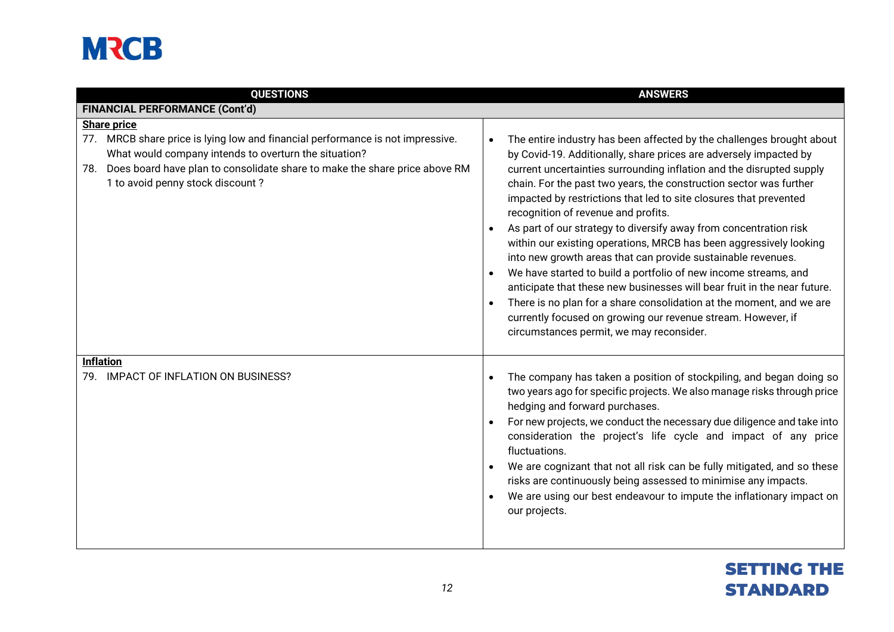| <b>QUESTIONS</b>                                                                                                                                                                                                                                                 | <b>ANSWERS</b>                                                                                                                                                                                                                                                                                                                                                                                                                                                                                                                                                                                                                                                                                                                                                                                                                                                                                                                                                  |
|------------------------------------------------------------------------------------------------------------------------------------------------------------------------------------------------------------------------------------------------------------------|-----------------------------------------------------------------------------------------------------------------------------------------------------------------------------------------------------------------------------------------------------------------------------------------------------------------------------------------------------------------------------------------------------------------------------------------------------------------------------------------------------------------------------------------------------------------------------------------------------------------------------------------------------------------------------------------------------------------------------------------------------------------------------------------------------------------------------------------------------------------------------------------------------------------------------------------------------------------|
| <b>FINANCIAL PERFORMANCE (Cont'd)</b>                                                                                                                                                                                                                            |                                                                                                                                                                                                                                                                                                                                                                                                                                                                                                                                                                                                                                                                                                                                                                                                                                                                                                                                                                 |
| <b>Share price</b>                                                                                                                                                                                                                                               |                                                                                                                                                                                                                                                                                                                                                                                                                                                                                                                                                                                                                                                                                                                                                                                                                                                                                                                                                                 |
| 77. MRCB share price is lying low and financial performance is not impressive.<br>What would company intends to overturn the situation?<br>Does board have plan to consolidate share to make the share price above RM<br>78.<br>1 to avoid penny stock discount? | The entire industry has been affected by the challenges brought about<br>$\bullet$<br>by Covid-19. Additionally, share prices are adversely impacted by<br>current uncertainties surrounding inflation and the disrupted supply<br>chain. For the past two years, the construction sector was further<br>impacted by restrictions that led to site closures that prevented<br>recognition of revenue and profits.<br>As part of our strategy to diversify away from concentration risk<br>within our existing operations, MRCB has been aggressively looking<br>into new growth areas that can provide sustainable revenues.<br>We have started to build a portfolio of new income streams, and<br>anticipate that these new businesses will bear fruit in the near future.<br>There is no plan for a share consolidation at the moment, and we are<br>currently focused on growing our revenue stream. However, if<br>circumstances permit, we may reconsider. |
| <b>Inflation</b>                                                                                                                                                                                                                                                 |                                                                                                                                                                                                                                                                                                                                                                                                                                                                                                                                                                                                                                                                                                                                                                                                                                                                                                                                                                 |
| 79. IMPACT OF INFLATION ON BUSINESS?                                                                                                                                                                                                                             | The company has taken a position of stockpiling, and began doing so<br>two years ago for specific projects. We also manage risks through price<br>hedging and forward purchases.<br>For new projects, we conduct the necessary due diligence and take into<br>consideration the project's life cycle and impact of any price<br>fluctuations.<br>We are cognizant that not all risk can be fully mitigated, and so these<br>risks are continuously being assessed to minimise any impacts.<br>We are using our best endeavour to impute the inflationary impact on<br>our projects.                                                                                                                                                                                                                                                                                                                                                                             |